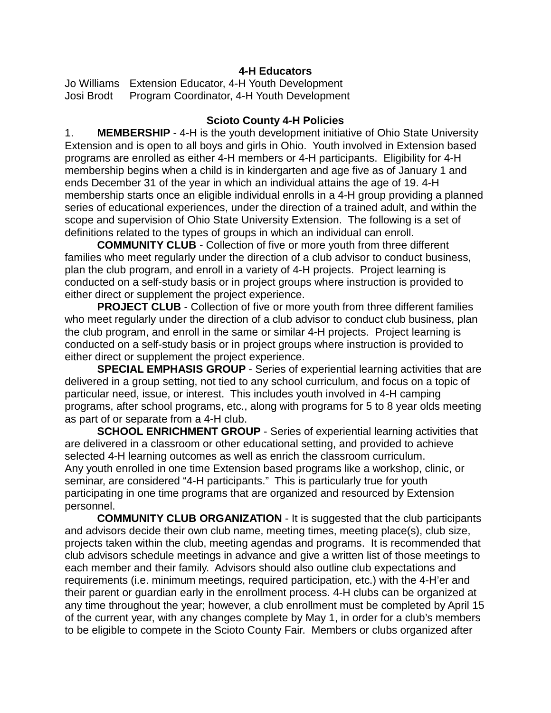### **4-H Educators**

Jo Williams Extension Educator, 4-H Youth Development Josi Brodt Program Coordinator, 4-H Youth Development

### **Scioto County 4-H Policies**

1. **MEMBERSHIP** - 4-H is the youth development initiative of Ohio State University Extension and is open to all boys and girls in Ohio. Youth involved in Extension based programs are enrolled as either 4-H members or 4-H participants. Eligibility for 4-H membership begins when a child is in kindergarten and age five as of January 1 and ends December 31 of the year in which an individual attains the age of 19. 4-H membership starts once an eligible individual enrolls in a 4-H group providing a planned series of educational experiences, under the direction of a trained adult, and within the scope and supervision of Ohio State University Extension. The following is a set of definitions related to the types of groups in which an individual can enroll.

**COMMUNITY CLUB** - Collection of five or more youth from three different families who meet regularly under the direction of a club advisor to conduct business, plan the club program, and enroll in a variety of 4-H projects. Project learning is conducted on a self-study basis or in project groups where instruction is provided to either direct or supplement the project experience.

**PROJECT CLUB** - Collection of five or more youth from three different families who meet regularly under the direction of a club advisor to conduct club business, plan the club program, and enroll in the same or similar 4-H projects. Project learning is conducted on a self-study basis or in project groups where instruction is provided to either direct or supplement the project experience.

**SPECIAL EMPHASIS GROUP** - Series of experiential learning activities that are delivered in a group setting, not tied to any school curriculum, and focus on a topic of particular need, issue, or interest. This includes youth involved in 4-H camping programs, after school programs, etc., along with programs for 5 to 8 year olds meeting as part of or separate from a 4-H club.

**SCHOOL ENRICHMENT GROUP** - Series of experiential learning activities that are delivered in a classroom or other educational setting, and provided to achieve selected 4-H learning outcomes as well as enrich the classroom curriculum. Any youth enrolled in one time Extension based programs like a workshop, clinic, or seminar, are considered "4-H participants." This is particularly true for youth participating in one time programs that are organized and resourced by Extension personnel.

**COMMUNITY CLUB ORGANIZATION** - It is suggested that the club participants and advisors decide their own club name, meeting times, meeting place(s), club size, projects taken within the club, meeting agendas and programs. It is recommended that club advisors schedule meetings in advance and give a written list of those meetings to each member and their family. Advisors should also outline club expectations and requirements (i.e. minimum meetings, required participation, etc.) with the 4-H'er and their parent or guardian early in the enrollment process. 4-H clubs can be organized at any time throughout the year; however, a club enrollment must be completed by April 15 of the current year, with any changes complete by May 1, in order for a club's members to be eligible to compete in the Scioto County Fair. Members or clubs organized after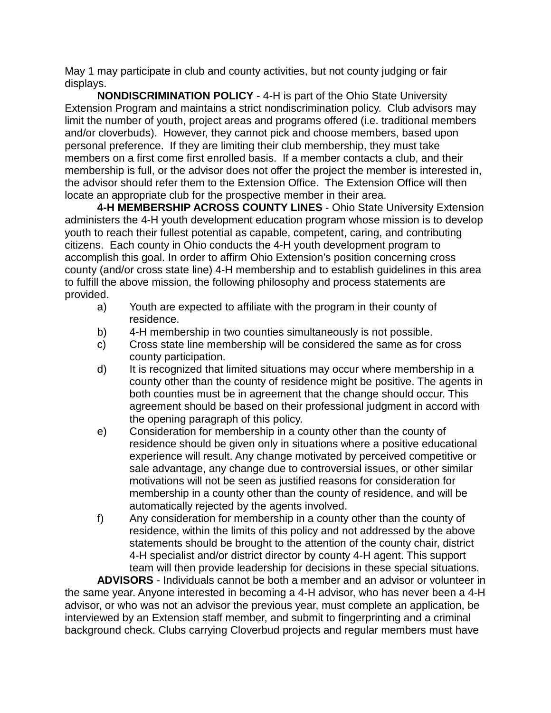May 1 may participate in club and county activities, but not county judging or fair displays.

**NONDISCRIMINATION POLICY** - 4-H is part of the Ohio State University Extension Program and maintains a strict nondiscrimination policy. Club advisors may limit the number of youth, project areas and programs offered (i.e. traditional members and/or cloverbuds). However, they cannot pick and choose members, based upon personal preference. If they are limiting their club membership, they must take members on a first come first enrolled basis. If a member contacts a club, and their membership is full, or the advisor does not offer the project the member is interested in, the advisor should refer them to the Extension Office. The Extension Office will then locate an appropriate club for the prospective member in their area.

**4-H MEMBERSHIP ACROSS COUNTY LINES** - Ohio State University Extension administers the 4-H youth development education program whose mission is to develop youth to reach their fullest potential as capable, competent, caring, and contributing citizens. Each county in Ohio conducts the 4-H youth development program to accomplish this goal. In order to affirm Ohio Extension's position concerning cross county (and/or cross state line) 4-H membership and to establish guidelines in this area to fulfill the above mission, the following philosophy and process statements are provided.

- a) Youth are expected to affiliate with the program in their county of residence.
- b) 4-H membership in two counties simultaneously is not possible.
- c) Cross state line membership will be considered the same as for cross county participation.
- d) It is recognized that limited situations may occur where membership in a county other than the county of residence might be positive. The agents in both counties must be in agreement that the change should occur. This agreement should be based on their professional judgment in accord with the opening paragraph of this policy.
- e) Consideration for membership in a county other than the county of residence should be given only in situations where a positive educational experience will result. Any change motivated by perceived competitive or sale advantage, any change due to controversial issues, or other similar motivations will not be seen as justified reasons for consideration for membership in a county other than the county of residence, and will be automatically rejected by the agents involved.
- f) Any consideration for membership in a county other than the county of residence, within the limits of this policy and not addressed by the above statements should be brought to the attention of the county chair, district 4-H specialist and/or district director by county 4-H agent. This support team will then provide leadership for decisions in these special situations.

**ADVISORS** - Individuals cannot be both a member and an advisor or volunteer in the same year. Anyone interested in becoming a 4-H advisor, who has never been a 4-H advisor, or who was not an advisor the previous year, must complete an application, be interviewed by an Extension staff member, and submit to fingerprinting and a criminal background check. Clubs carrying Cloverbud projects and regular members must have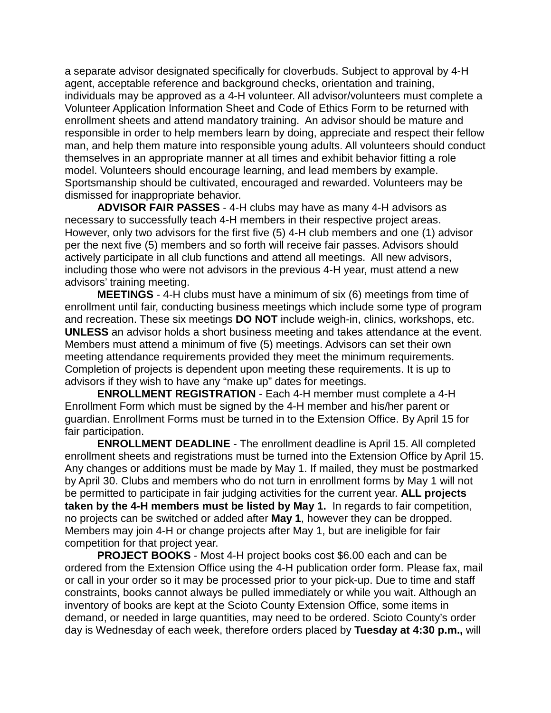a separate advisor designated specifically for cloverbuds. Subject to approval by 4-H agent, acceptable reference and background checks, orientation and training, individuals may be approved as a 4-H volunteer. All advisor/volunteers must complete a Volunteer Application Information Sheet and Code of Ethics Form to be returned with enrollment sheets and attend mandatory training. An advisor should be mature and responsible in order to help members learn by doing, appreciate and respect their fellow man, and help them mature into responsible young adults. All volunteers should conduct themselves in an appropriate manner at all times and exhibit behavior fitting a role model. Volunteers should encourage learning, and lead members by example. Sportsmanship should be cultivated, encouraged and rewarded. Volunteers may be dismissed for inappropriate behavior.

**ADVISOR FAIR PASSES** - 4-H clubs may have as many 4-H advisors as necessary to successfully teach 4-H members in their respective project areas. However, only two advisors for the first five (5) 4-H club members and one (1) advisor per the next five (5) members and so forth will receive fair passes. Advisors should actively participate in all club functions and attend all meetings. All new advisors, including those who were not advisors in the previous 4-H year, must attend a new advisors' training meeting.

**MEETINGS** - 4-H clubs must have a minimum of six (6) meetings from time of enrollment until fair, conducting business meetings which include some type of program and recreation. These six meetings **DO NOT** include weigh-in, clinics, workshops, etc. **UNLESS** an advisor holds a short business meeting and takes attendance at the event. Members must attend a minimum of five (5) meetings. Advisors can set their own meeting attendance requirements provided they meet the minimum requirements. Completion of projects is dependent upon meeting these requirements. It is up to advisors if they wish to have any "make up" dates for meetings.

**ENROLLMENT REGISTRATION** - Each 4-H member must complete a 4-H Enrollment Form which must be signed by the 4-H member and his/her parent or guardian. Enrollment Forms must be turned in to the Extension Office. By April 15 for fair participation.

**ENROLLMENT DEADLINE** - The enrollment deadline is April 15. All completed enrollment sheets and registrations must be turned into the Extension Office by April 15. Any changes or additions must be made by May 1. If mailed, they must be postmarked by April 30. Clubs and members who do not turn in enrollment forms by May 1 will not be permitted to participate in fair judging activities for the current year. **ALL projects taken by the 4-H members must be listed by May 1.** In regards to fair competition, no projects can be switched or added after **May 1**, however they can be dropped. Members may join 4-H or change projects after May 1, but are ineligible for fair competition for that project year.

**PROJECT BOOKS** - Most 4-H project books cost \$6.00 each and can be ordered from the Extension Office using the 4-H publication order form. Please fax, mail or call in your order so it may be processed prior to your pick-up. Due to time and staff constraints, books cannot always be pulled immediately or while you wait. Although an inventory of books are kept at the Scioto County Extension Office, some items in demand, or needed in large quantities, may need to be ordered. Scioto County's order day is Wednesday of each week, therefore orders placed by **Tuesday at 4:30 p.m.,** will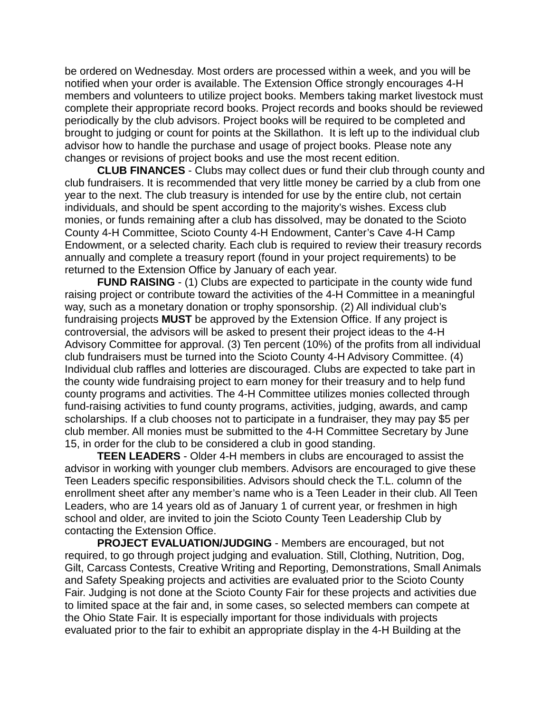be ordered on Wednesday. Most orders are processed within a week, and you will be notified when your order is available. The Extension Office strongly encourages 4-H members and volunteers to utilize project books. Members taking market livestock must complete their appropriate record books. Project records and books should be reviewed periodically by the club advisors. Project books will be required to be completed and brought to judging or count for points at the Skillathon. It is left up to the individual club advisor how to handle the purchase and usage of project books. Please note any changes or revisions of project books and use the most recent edition.

**CLUB FINANCES** - Clubs may collect dues or fund their club through county and club fundraisers. It is recommended that very little money be carried by a club from one year to the next. The club treasury is intended for use by the entire club, not certain individuals, and should be spent according to the majority's wishes. Excess club monies, or funds remaining after a club has dissolved, may be donated to the Scioto County 4-H Committee, Scioto County 4-H Endowment, Canter's Cave 4-H Camp Endowment, or a selected charity. Each club is required to review their treasury records annually and complete a treasury report (found in your project requirements) to be returned to the Extension Office by January of each year.

**FUND RAISING** - (1) Clubs are expected to participate in the county wide fund raising project or contribute toward the activities of the 4-H Committee in a meaningful way, such as a monetary donation or trophy sponsorship. (2) All individual club's fundraising projects **MUST** be approved by the Extension Office. If any project is controversial, the advisors will be asked to present their project ideas to the 4-H Advisory Committee for approval. (3) Ten percent (10%) of the profits from all individual club fundraisers must be turned into the Scioto County 4-H Advisory Committee. (4) Individual club raffles and lotteries are discouraged. Clubs are expected to take part in the county wide fundraising project to earn money for their treasury and to help fund county programs and activities. The 4-H Committee utilizes monies collected through fund-raising activities to fund county programs, activities, judging, awards, and camp scholarships. If a club chooses not to participate in a fundraiser, they may pay \$5 per club member. All monies must be submitted to the 4-H Committee Secretary by June 15, in order for the club to be considered a club in good standing.

**TEEN LEADERS** - Older 4-H members in clubs are encouraged to assist the advisor in working with younger club members. Advisors are encouraged to give these Teen Leaders specific responsibilities. Advisors should check the T.L. column of the enrollment sheet after any member's name who is a Teen Leader in their club. All Teen Leaders, who are 14 years old as of January 1 of current year, or freshmen in high school and older, are invited to join the Scioto County Teen Leadership Club by contacting the Extension Office.

**PROJECT EVALUATION/JUDGING** - Members are encouraged, but not required, to go through project judging and evaluation. Still, Clothing, Nutrition, Dog, Gilt, Carcass Contests, Creative Writing and Reporting, Demonstrations, Small Animals and Safety Speaking projects and activities are evaluated prior to the Scioto County Fair. Judging is not done at the Scioto County Fair for these projects and activities due to limited space at the fair and, in some cases, so selected members can compete at the Ohio State Fair. It is especially important for those individuals with projects evaluated prior to the fair to exhibit an appropriate display in the 4-H Building at the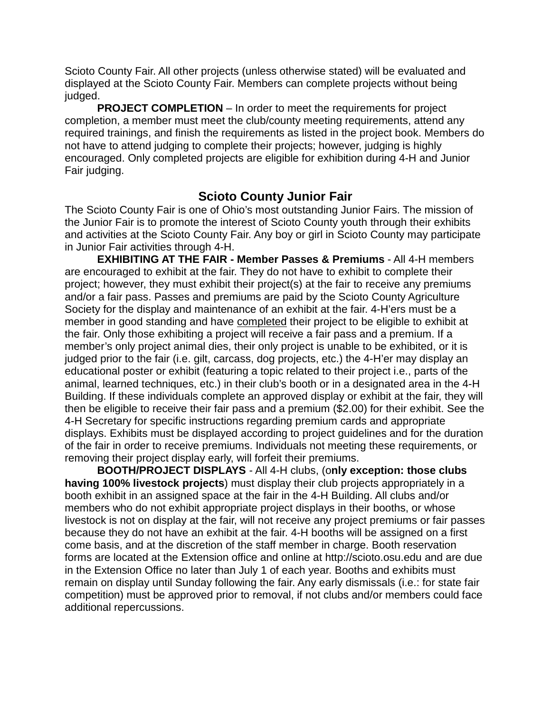Scioto County Fair. All other projects (unless otherwise stated) will be evaluated and displayed at the Scioto County Fair. Members can complete projects without being judged.

**PROJECT COMPLETION** – In order to meet the requirements for project completion, a member must meet the club/county meeting requirements, attend any required trainings, and finish the requirements as listed in the project book. Members do not have to attend judging to complete their projects; however, judging is highly encouraged. Only completed projects are eligible for exhibition during 4-H and Junior Fair judging.

# **Scioto County Junior Fair**

The Scioto County Fair is one of Ohio's most outstanding Junior Fairs. The mission of the Junior Fair is to promote the interest of Scioto County youth through their exhibits and activities at the Scioto County Fair. Any boy or girl in Scioto County may participate in Junior Fair activities through 4-H.

**EXHIBITING AT THE FAIR - Member Passes & Premiums** - All 4-H members are encouraged to exhibit at the fair. They do not have to exhibit to complete their project; however, they must exhibit their project(s) at the fair to receive any premiums and/or a fair pass. Passes and premiums are paid by the Scioto County Agriculture Society for the display and maintenance of an exhibit at the fair. 4-H'ers must be a member in good standing and have completed their project to be eligible to exhibit at the fair. Only those exhibiting a project will receive a fair pass and a premium. If a member's only project animal dies, their only project is unable to be exhibited, or it is judged prior to the fair (i.e. gilt, carcass, dog projects, etc.) the 4-H'er may display an educational poster or exhibit (featuring a topic related to their project i.e., parts of the animal, learned techniques, etc.) in their club's booth or in a designated area in the 4-H Building. If these individuals complete an approved display or exhibit at the fair, they will then be eligible to receive their fair pass and a premium (\$2.00) for their exhibit. See the 4-H Secretary for specific instructions regarding premium cards and appropriate displays. Exhibits must be displayed according to project guidelines and for the duration of the fair in order to receive premiums. Individuals not meeting these requirements, or removing their project display early, will forfeit their premiums.

**BOOTH/PROJECT DISPLAYS** - All 4-H clubs, (o**nly exception: those clubs having 100% livestock projects**) must display their club projects appropriately in a booth exhibit in an assigned space at the fair in the 4-H Building. All clubs and/or members who do not exhibit appropriate project displays in their booths, or whose livestock is not on display at the fair, will not receive any project premiums or fair passes because they do not have an exhibit at the fair. 4-H booths will be assigned on a first come basis, and at the discretion of the staff member in charge. Booth reservation forms are located at the Extension office and online at http://scioto.osu.edu and are due in the Extension Office no later than July 1 of each year. Booths and exhibits must remain on display until Sunday following the fair. Any early dismissals (i.e.: for state fair competition) must be approved prior to removal, if not clubs and/or members could face additional repercussions.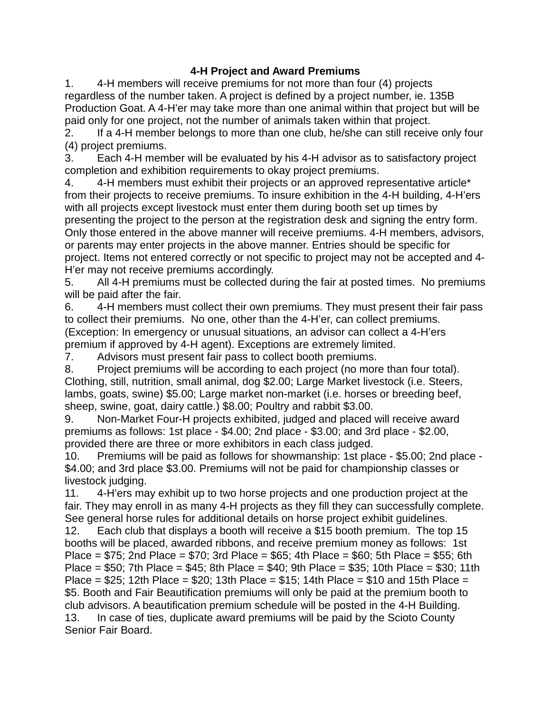## **4-H Project and Award Premiums**

1. 4-H members will receive premiums for not more than four (4) projects regardless of the number taken. A project is defined by a project number, ie. 135B Production Goat. A 4-H'er may take more than one animal within that project but will be paid only for one project, not the number of animals taken within that project.

2. If a 4-H member belongs to more than one club, he/she can still receive only four (4) project premiums.

3. Each 4-H member will be evaluated by his 4-H advisor as to satisfactory project completion and exhibition requirements to okay project premiums.

4. 4-H members must exhibit their projects or an approved representative article<sup>\*</sup> from their projects to receive premiums. To insure exhibition in the 4-H building, 4-H'ers with all projects except livestock must enter them during booth set up times by presenting the project to the person at the registration desk and signing the entry form. Only those entered in the above manner will receive premiums. 4-H members, advisors, or parents may enter projects in the above manner. Entries should be specific for project. Items not entered correctly or not specific to project may not be accepted and 4- H'er may not receive premiums accordingly.

5. All 4-H premiums must be collected during the fair at posted times. No premiums will be paid after the fair.

6. 4-H members must collect their own premiums. They must present their fair pass to collect their premiums. No one, other than the 4-H'er, can collect premiums. (Exception: In emergency or unusual situations, an advisor can collect a 4-H'ers premium if approved by 4-H agent). Exceptions are extremely limited.

7. Advisors must present fair pass to collect booth premiums.

8. Project premiums will be according to each project (no more than four total). Clothing, still, nutrition, small animal, dog \$2.00; Large Market livestock (i.e. Steers, lambs, goats, swine) \$5.00; Large market non-market (i.e. horses or breeding beef, sheep, swine, goat, dairy cattle.) \$8.00; Poultry and rabbit \$3.00.

9. Non-Market Four-H projects exhibited, judged and placed will receive award premiums as follows: 1st place - \$4.00; 2nd place - \$3.00; and 3rd place - \$2.00, provided there are three or more exhibitors in each class judged.

10. Premiums will be paid as follows for showmanship: 1st place - \$5.00; 2nd place - \$4.00; and 3rd place \$3.00. Premiums will not be paid for championship classes or livestock judging.

11. 4-H'ers may exhibit up to two horse projects and one production project at the fair. They may enroll in as many 4-H projects as they fill they can successfully complete. See general horse rules for additional details on horse project exhibit guidelines.

12. Each club that displays a booth will receive a \$15 booth premium. The top 15 booths will be placed, awarded ribbons, and receive premium money as follows: 1st Place =  $$75$ ; 2nd Place =  $$70$ ; 3rd Place =  $$65$ ; 4th Place =  $$60$ ; 5th Place =  $$55$ ; 6th Place = \$50; 7th Place = \$45; 8th Place = \$40; 9th Place = \$35; 10th Place = \$30; 11th Place =  $$25$ ; 12th Place =  $$20$ ; 13th Place =  $$15$ ; 14th Place =  $$10$  and 15th Place = \$5. Booth and Fair Beautification premiums will only be paid at the premium booth to club advisors. A beautification premium schedule will be posted in the 4-H Building. 13. In case of ties, duplicate award premiums will be paid by the Scioto County Senior Fair Board.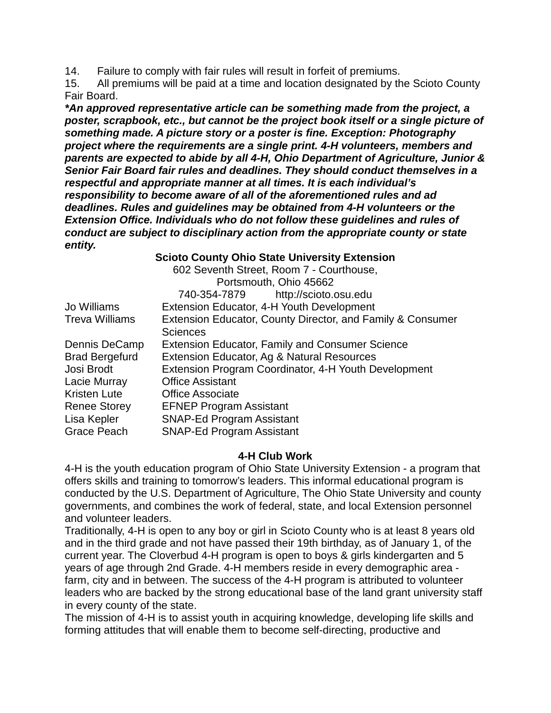14. Failure to comply with fair rules will result in forfeit of premiums.

15. All premiums will be paid at a time and location designated by the Scioto County Fair Board.

*\*An approved representative article can be something made from the project, a poster, scrapbook, etc., but cannot be the project book itself or a single picture of something made. A picture story or a poster is fine. Exception: Photography project where the requirements are a single print. 4-H volunteers, members and parents are expected to abide by all 4-H, Ohio Department of Agriculture, Junior & Senior Fair Board fair rules and deadlines. They should conduct themselves in a respectful and appropriate manner at all times. It is each individual's responsibility to become aware of all of the aforementioned rules and ad deadlines. Rules and guidelines may be obtained from 4-H volunteers or the Extension Office. Individuals who do not follow these guidelines and rules of conduct are subject to disciplinary action from the appropriate county or state entity.*

### **Scioto County Ohio State University Extension**

|                       | 602 Seventh Street, Room 7 - Courthouse,                   |
|-----------------------|------------------------------------------------------------|
|                       | Portsmouth, Ohio 45662                                     |
|                       | http://scioto.osu.edu<br>740-354-7879                      |
| Jo Williams           | Extension Educator, 4-H Youth Development                  |
| <b>Treva Williams</b> | Extension Educator, County Director, and Family & Consumer |
|                       | <b>Sciences</b>                                            |
| Dennis DeCamp         | <b>Extension Educator, Family and Consumer Science</b>     |
| <b>Brad Bergefurd</b> | Extension Educator, Ag & Natural Resources                 |
| Josi Brodt            | Extension Program Coordinator, 4-H Youth Development       |
| Lacie Murray          | <b>Office Assistant</b>                                    |
| <b>Kristen Lute</b>   | <b>Office Associate</b>                                    |
| <b>Renee Storey</b>   | <b>EFNEP Program Assistant</b>                             |
| Lisa Kepler           | <b>SNAP-Ed Program Assistant</b>                           |
| <b>Grace Peach</b>    | <b>SNAP-Ed Program Assistant</b>                           |

#### **4-H Club Work**

4-H is the youth education program of Ohio State University Extension - a program that offers skills and training to tomorrow's leaders. This informal educational program is conducted by the U.S. Department of Agriculture, The Ohio State University and county governments, and combines the work of federal, state, and local Extension personnel and volunteer leaders.

Traditionally, 4-H is open to any boy or girl in Scioto County who is at least 8 years old and in the third grade and not have passed their 19th birthday, as of January 1, of the current year. The Cloverbud 4-H program is open to boys & girls kindergarten and 5 years of age through 2nd Grade. 4-H members reside in every demographic area farm, city and in between. The success of the 4-H program is attributed to volunteer leaders who are backed by the strong educational base of the land grant university staff in every county of the state.

The mission of 4-H is to assist youth in acquiring knowledge, developing life skills and forming attitudes that will enable them to become self-directing, productive and